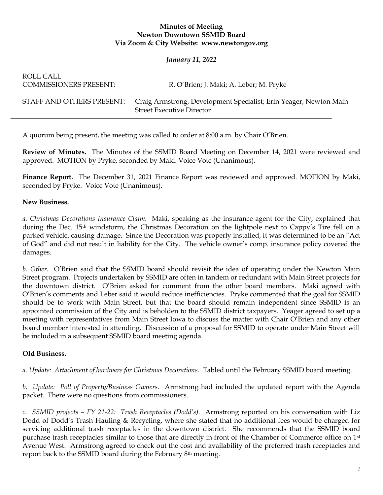## **Minutes of Meeting Newton Downtown SSMID Board Via Zoom & City Website: www.newtongov.org**

## *January 11, 2022*

| ROLL CALL<br><b>COMMISSIONERS PRESENT:</b> | R. O'Brien; J. Maki; A. Leber; M. Pryke                                                               |
|--------------------------------------------|-------------------------------------------------------------------------------------------------------|
| STAFF AND OTHERS PRESENT:                  | Craig Armstrong, Development Specialist; Erin Yeager, Newton Main<br><b>Street Executive Director</b> |

A quorum being present, the meeting was called to order at 8:00 a.m. by Chair O'Brien.

**Review of Minutes.** The Minutes of the SSMID Board Meeting on December 14, 2021 were reviewed and approved. MOTION by Pryke, seconded by Maki. Voice Vote (Unanimous).

**Finance Report.** The December 31, 2021 Finance Report was reviewed and approved. MOTION by Maki, seconded by Pryke. Voice Vote (Unanimous).

## **New Business.**

*a. Christmas Decorations Insurance Claim.* Maki, speaking as the insurance agent for the City, explained that during the Dec. 15<sup>th</sup> windstorm, the Christmas Decoration on the lightpole next to Cappy's Tire fell on a parked vehicle, causing damage. Since the Decoration was properly installed, it was determined to be an "Act of God" and did not result in liability for the City. The vehicle owner's comp. insurance policy covered the damages.

*b. Other.* O'Brien said that the SSMID board should revisit the idea of operating under the Newton Main Street program. Projects undertaken by SSMID are often in tandem or redundant with Main Street projects for the downtown district. O'Brien asked for comment from the other board members. Maki agreed with O'Brien's comments and Leber said it would reduce inefficiencies. Pryke commented that the goal for SSMID should be to work with Main Street, but that the board should remain independent since SSMID is an appointed commission of the City and is beholden to the SSMID district taxpayers. Yeager agreed to set up a meeting with representatives from Main Street Iowa to discuss the matter with Chair O'Brien and any other board member interested in attending. Discussion of a proposal for SSMID to operate under Main Street will be included in a subsequent SSMID board meeting agenda.

## **Old Business.**

*a. Update: Attachment of hardware for Christmas Decorations.* Tabled until the February SSMID board meeting.

*b. Update: Poll of Property/Business Owners.* Armstrong had included the updated report with the Agenda packet. There were no questions from commissioners.

*c. SSMID projects – FY 21-22: Trash Receptacles (Dodd's).* Armstrong reported on his conversation with Liz Dodd of Dodd's Trash Hauling & Recycling, where she stated that no additional fees would be charged for servicing additional trash receptacles in the downtown district. She recommends that the SSMID board purchase trash receptacles similar to those that are directly in front of the Chamber of Commerce office on 1st Avenue West. Armstrong agreed to check out the cost and availability of the preferred trash receptacles and report back to the SSMID board during the February 8th meeting.